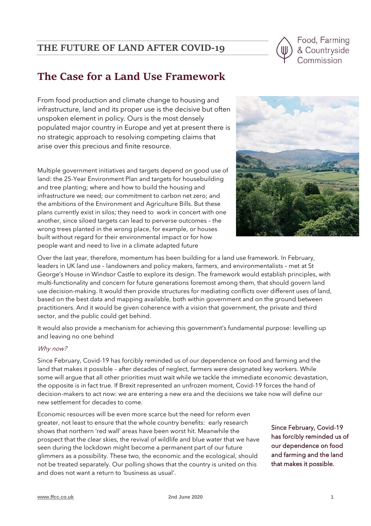# **THE FUTURE OF LAND AFTER COVID-19**



# **The Case for a Land Use Framework**

From food production and climate change to housing and infrastructure, land and its proper use is the decisive but often unspoken element in policy. Ours is the most densely populated major country in Europe and yet at present there is no strategic approach to resolving competing claims that arise over this precious and finite resource.

Multiple government initiatives and targets depend on good use of land: the 25-Year Environment Plan and targets for housebuilding and tree planting; where and how to build the housing and infrastructure we need; our commitment to carbon net zero; and the ambitions of the Environment and Agriculture Bills. But these plans currently exist in silos; they need to work in concert with one another, since siloed targets can lead to perverse outcomes – the wrong trees planted in the wrong place, for example, or houses built without regard for their environmental impact or for how people want and need to live in a climate adapted future



Over the last year, therefore, momentum has been building for a land use framework. In February, leaders in UK land use – landowners and policy makers, farmers, and environmentalists – met at St George's House in Windsor Castle to explore its design. The framework would establish principles, with multi-functionality and concern for future generations foremost among them, that should govern land use decision-making. It would then provide structures for mediating conflicts over different uses of land, based on the best data and mapping available, both within government and on the ground between practitioners. And it would be given coherence with a vision that government, the private and third sector, and the public could get behind.

It would also provide a mechanism for achieving this government's fundamental purpose: levelling up and leaving no one behind

# Why now?

Since February, Covid-19 has forcibly reminded us of our dependence on food and farming and the land that makes it possible – after decades of neglect, farmers were designated key workers. While some will argue that all other priorities must wait while we tackle the immediate economic devastation, the opposite is in fact true. If Brexit represented an unfrozen moment, Covid-19 forces the hand of decision-makers to act now: we are entering a new era and the decisions we take now will define our new settlement for decades to come.

Economic resources will be even more scarce but the need for reform even greater, not least to ensure that the whole country benefits: early research shows that northern 'red wall' areas have been worst hit. Meanwhile the prospect that the clear skies, the revival of wildlife and blue water that we have seen during the lockdown might become a permanent part of our future glimmers as a possibility. These two, the economic and the ecological, should not be treated separately. Our polling shows that the country is united on this and does not want a return to 'business as usual'.

Since February, Covid-19 has forcibly reminded us of our dependence on food and farming and the land that makes it possible.